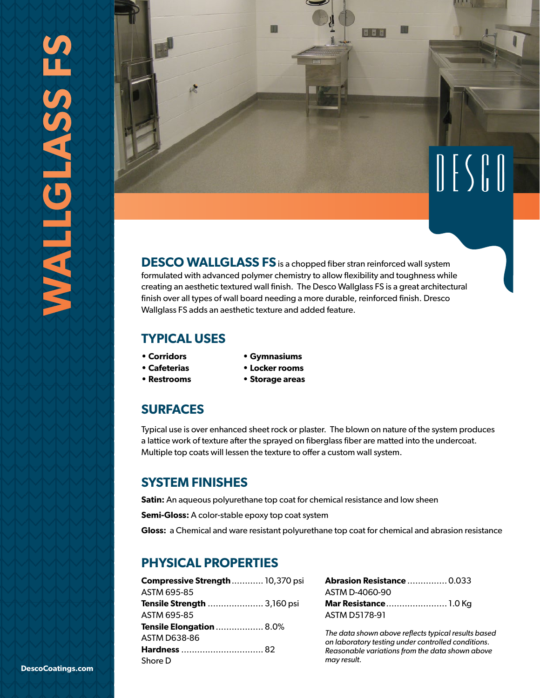

**DESCO WALLGLASS FS**is a chopped fiber stran reinforced wall system formulated with advanced polymer chemistry to allow flexibility and toughness while creating an aesthetic textured wall finish. The Desco Wallglass FS is a great architectural finish over all types of wall board needing a more durable, reinforced finish. Dresco Wallglass FS adds an aesthetic texture and added feature.

# **TYPICAL USES**

- **Corridors**
- **Gymnasiums**
- **Cafeterias**
- **Locker rooms**
- **Restrooms**
- **Storage areas**
- **SURFACES**

Typical use is over enhanced sheet rock or plaster. The blown on nature of the system produces a lattice work of texture after the sprayed on fiberglass fiber are matted into the undercoat. Multiple top coats will lessen the texture to offer a custom wall system.

# **SYSTEM FINISHES**

**Satin:** An aqueous polyurethane top coat for chemical resistance and low sheen

**Semi-Gloss:** A color-stable epoxy top coat system

**Gloss:** a Chemical and ware resistant polyurethane top coat for chemical and abrasion resistance

# **PHYSICAL PROPERTIES**

| <b>Compressive Strength  10,370 psi</b> |  |
|-----------------------------------------|--|
| ASTM 695-85                             |  |
| <b>Tensile Strength </b> 3,160 psi      |  |
| ASTM 695-85                             |  |
| <b>Tensile Elongation</b> 8.0%          |  |
| ASTM D638-86                            |  |
| Hardness  82                            |  |
| Shore D                                 |  |

| <b>Abrasion Resistance  0.033</b> |  |
|-----------------------------------|--|
| ASTM D-4060-90                    |  |
| Mar Resistance 1.0 Kg             |  |
| ASTM D5178-91                     |  |

*The data shown above reflects typical results based on laboratory testing under controlled conditions. Reasonable variations from the data shown above may result.*